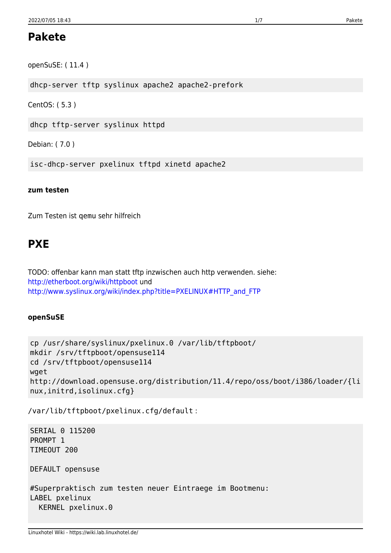## **Pakete**

openSuSE: (11.4)

dhcp-server tftp syslinux apache2 apache2-prefork

CentOS: (5.3)

dhcp tftp-server syslinux httpd

Debian: (7.0)

isc-dhcp-server pxelinux tftpd xinetd apache2

#### zum testen

Zum Testen ist gemu sehr hilfreich

# **PXE**

TODO: offenbar kann man statt tftp inzwischen auch http verwenden. siehe: http://etherboot.org/wiki/httpboot und http://www.syslinux.org/wiki/index.php?title=PXELINUX#HTTP and FTP

#### openSuSE

```
cp /usr/share/syslinux/pxelinux.0 /var/lib/tftpboot/
mkdir /srv/tftpboot/opensuse114
cd /srv/tftpboot/opensuse114
wget
http://download.opensuse.org/distribution/11.4/repo/oss/boot/i386/loader/{li
nux, initrd, isolinux.cfg}
```
/var/lib/tftpboot/pxelinux.cfg/default:

SERIAL 0 115200 PROMPT 1 TIMEOUT 200 DEFAULT opensuse #Superpraktisch zum testen neuer Eintraege im Bootmenu: LABEL pxelinux KERNEL pxelinux.0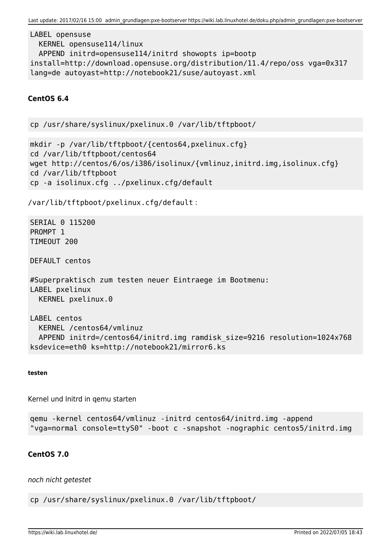```
LABEL opensuse
  KERNEL opensuse114/linux
 APPEND initrd=opensuse114/initrd showopts ip=bootp
install=http://download.opensuse.org/distribution/11.4/repo/oss vga=0x317
lang=de autoyast=http://notebook21/suse/autoyast.xml
```
#### CentOS<sub>6.4</sub>

cp /usr/share/syslinux/pxelinux.0 /var/lib/tftpboot/

mkdir -p /var/lib/tftpboot/{centos64,pxelinux.cfg} cd /var/lib/tftpboot/centos64 wget http://centos/6/os/i386/isolinux/{vmlinuz,initrd.img,isolinux.cfg} cd /var/lib/tftpboot cp -a isolinux.cfg ../pxelinux.cfg/default

/var/lib/tftpboot/pxelinux.cfg/default:

SERIAL 0 115200 PROMPT<sub>1</sub> TIMFOUT 200

DEFAULT centos

```
#Superpraktisch zum testen neuer Eintraege im Bootmenu:
LABEL pxelinux
 KERNEL pxelinux.0
```
LABEL centos KERNEL /centos64/vmlinuz APPEND initrd=/centos64/initrd.img ramdisk size=9216 resolution=1024x768 ksdevice=eth0 ks=http://notebook21/mirror6.ks

#### testen

Kernel und Initrd in gemu starten

```
gemu - kernel centos64/vmlinuz - initrd centos64/initrd.img - append
"vga=normal console=ttyS0" -boot c -snapshot -nographic centos5/initrd.img
```
#### CentOS 7.0

noch nicht getestet

cp /usr/share/syslinux/pxelinux.0 /var/lib/tftpboot/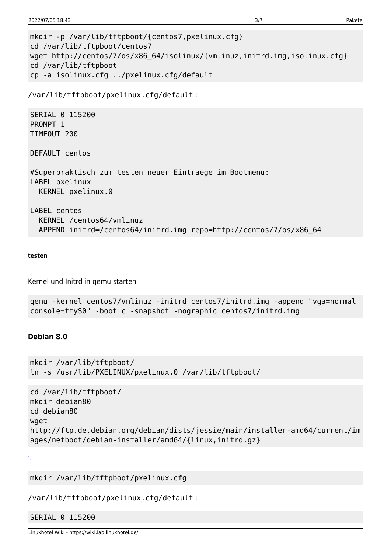```
mkdir -p /var/lib/tftpboot/{centos7,pxelinux.cfg}
cd /var/lib/tftpboot/centos7
wget http://centos/7/os/x86 64/isolinux/{vmlinuz,initrd.img,isolinux.cfg}
cd /var/lib/tftpboot
cp -a isolinux.cfg ../pxelinux.cfg/default
```

```
/var/lib/tftpboot/pxelinux.cfg/default:
```
SERIAL 0 115200 PROMPT<sub>1</sub> TIMEOUT 200

DEFAULT centos

#Superpraktisch zum testen neuer Eintraege im Bootmenu: LABEL pxelinux KERNEL pxelinux.0

LABEL centos KERNEL /centos64/vmlinuz APPEND initrd=/centos64/initrd.img repo=http://centos/7/os/x86 64

#### testen

Kernel und Initrd in gemu starten

```
gemu -kernel centos7/vmlinuz -initrd centos7/initrd.img -append "vga=normal
console=ttyS0" -boot c -snapshot -nographic centos7/initrd.img
```
## Debian 8.0

```
mkdir /var/lib/tftpboot/
ln -s /usr/lib/PXELINUX/pxelinux.0 /var/lib/tftpboot/
```

```
cd /var/lib/tftpboot/
mkdir debian80
cd debian80
wget
http://ftp.de.debian.org/debian/dists/jessie/main/installer-amd64/current/im
ages/netboot/debian-installer/amd64/{linux,initrd.gz}
```

```
1)
```

```
mkdir /var/lib/tftpboot/pxelinux.cfg
```

```
/var/lib/tftpboot/pxelinux.cfg/default:
```
### SERIAL 0 115200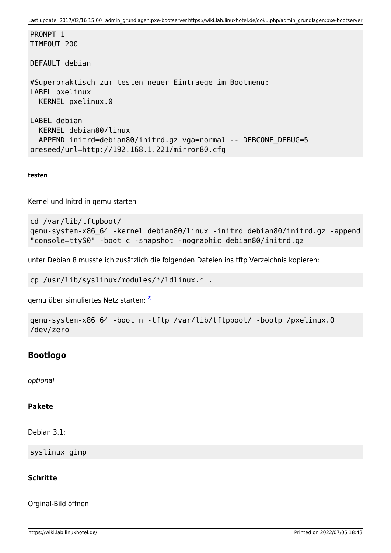Last update: 2017/02/16 15:00 admin\_grundlagen:pxe-bootserver https://wiki.lab.linuxhotel.de/doku.php/admin\_grundlagen:pxe-bootserver

PROMPT<sub>1</sub> TIMEOUT 200

DEFAULT debian

```
#Superpraktisch zum testen neuer Eintraege im Bootmenu:
LABEL pxelinux
  KERNEL pxelinux.0
```

```
LABEL debian
  KERNEL debian80/linux
 APPEND initrd=debian80/initrd.gz vga=normal -- DEBCONF DEBUG=5
preseed/url=http://192.168.1.221/mirror80.cfg
```
**testen**

Kernel und Initrd in qemu starten

```
cd /var/lib/tftpboot/
qemu-system-x86_64 -kernel debian80/linux -initrd debian80/initrd.gz -append
"console=ttyS0" -boot c -snapshot -nographic debian80/initrd.gz
```
unter Debian 8 musste ich zusätzlich die folgenden Dateien ins tftp Verzeichnis kopieren:

cp /usr/lib/syslinux/modules/\*/ldlinux.\* .

qemu über simuliertes Netz starten: [2\)](#page--1-0)

```
qemu-system-x86_64 -boot n -tftp /var/lib/tftpboot/ -bootp /pxelinux.0
/dev/zero
```
### **Bootlogo**

optional

#### **Pakete**

Debian 3.1:

syslinux gimp

#### **Schritte**

Orginal-Bild öffnen: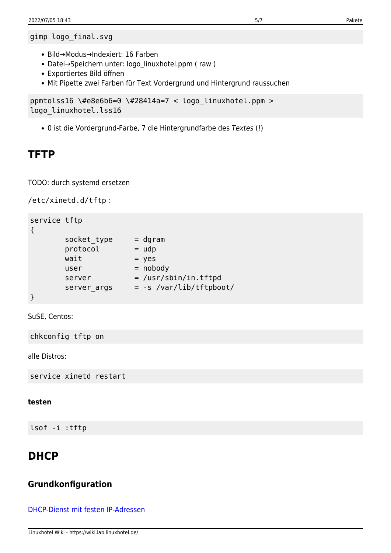```
gimp logo_final.svg
```
- Bild→Modus→Indexiert: 16 Farben
- Datei→Speichern unter: logo linuxhotel.ppm ( raw )
- Exportiertes Bild öffnen
- Mit Pipette zwei Farben für Text Vordergrund und Hintergrund raussuchen

```
ppmtolss16 \#e8e6b6=0 \#28414a=7 < logo_linuxhotel.ppm >
logo_linuxhotel.lss16
```
0 ist die Vordergrund-Farbe, 7 die Hintergrundfarbe des Textes (!)

# **TFTP**

TODO: durch systemd ersetzen

/etc/xinetd.d/tftp :

```
service tftp
{
      socket_type = dgram\text{protocol} = \text{udp}wait = yes
      user = nobody
      server = /usr/sbin/in.tftpd
      server_args = -s /var/lib/tftpboot/
```
}

SuSE, Centos:

chkconfig tftp on

alle Distros:

service xinetd restart

#### **testen**

lsof -i :tftp

# **DHCP**

## **Grundkonfiguration**

[DHCP-Dienst mit festen IP-Adressen](https://wiki.lab.linuxhotel.de/doku.php/admin_grundlagen:dhcp)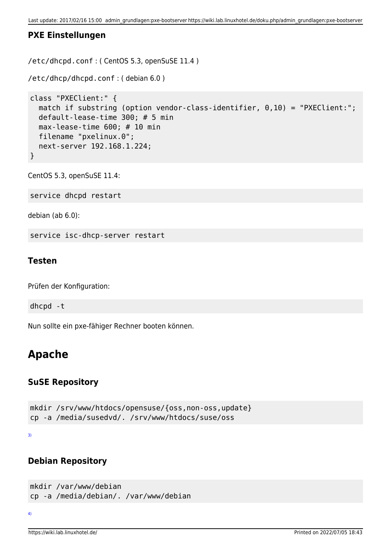## **PXE Einstellungen**

/etc/dhcpd.conf : ( CentOS 5.3, openSuSE 11.4 )

```
/etc/dhcp/dhcpd.conf : ( debian 6.0 )
```

```
class "PXEClient:" {
  match if substring (option vendor-class-identifier, 0,10) = "PXEClient:";
   default-lease-time 300; # 5 min
   max-lease-time 600; # 10 min
   filename "pxelinux.0";
   next-server 192.168.1.224;
}
```
CentOS 5.3, openSuSE 11.4:

service dhcpd restart

debian (ab 6.0):

service isc-dhcp-server restart

#### **Testen**

Prüfen der Konfiguration:

dhcpd -t

Nun sollte ein pxe-fähiger Rechner booten können.

# **Apache**

## **SuSE Repository**

```
mkdir /srv/www/htdocs/opensuse/{oss,non-oss,update}
cp -a /media/susedvd/. /srv/www/htdocs/suse/oss
```
[3\)](#page--1-0)

## **Debian Repository**

```
mkdir /var/www/debian
cp -a /media/debian/. /var/www/debian
```

```
4)
```